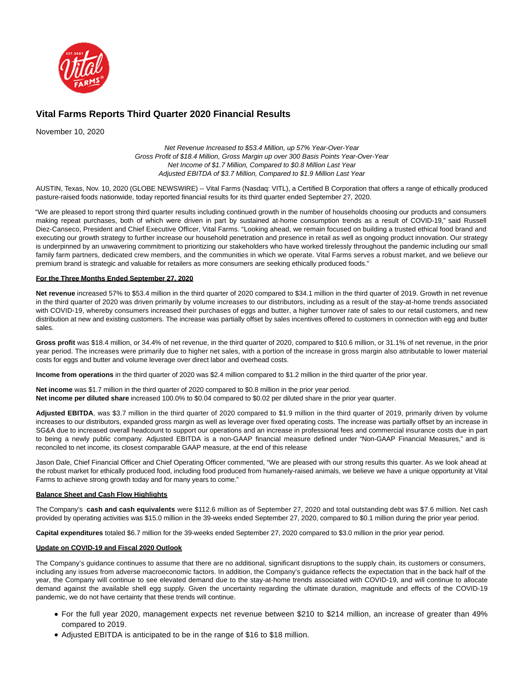

# **Vital Farms Reports Third Quarter 2020 Financial Results**

November 10, 2020

Net Revenue Increased to \$53.4 Million, up 57% Year-Over-Year Gross Profit of \$18.4 Million, Gross Margin up over 300 Basis Points Year-Over-Year Net Income of \$1.7 Million, Compared to \$0.8 Million Last Year Adjusted EBITDA of \$3.7 Million, Compared to \$1.9 Million Last Year

AUSTIN, Texas, Nov. 10, 2020 (GLOBE NEWSWIRE) -- Vital Farms (Nasdaq: VITL), a Certified B Corporation that offers a range of ethically produced pasture-raised foods nationwide, today reported financial results for its third quarter ended September 27, 2020.

"We are pleased to report strong third quarter results including continued growth in the number of households choosing our products and consumers making repeat purchases, both of which were driven in part by sustained at-home consumption trends as a result of COVID-19," said Russell Diez-Canseco, President and Chief Executive Officer, Vital Farms. "Looking ahead, we remain focused on building a trusted ethical food brand and executing our growth strategy to further increase our household penetration and presence in retail as well as ongoing product innovation. Our strategy is underpinned by an unwavering commitment to prioritizing our stakeholders who have worked tirelessly throughout the pandemic including our small family farm partners, dedicated crew members, and the communities in which we operate. Vital Farms serves a robust market, and we believe our premium brand is strategic and valuable for retailers as more consumers are seeking ethically produced foods."

### **For the Three Months Ended September 27, 2020**

**Net revenue** increased 57% to \$53.4 million in the third quarter of 2020 compared to \$34.1 million in the third quarter of 2019. Growth in net revenue in the third quarter of 2020 was driven primarily by volume increases to our distributors, including as a result of the stay-at-home trends associated with COVID-19, whereby consumers increased their purchases of eggs and butter, a higher turnover rate of sales to our retail customers, and new distribution at new and existing customers. The increase was partially offset by sales incentives offered to customers in connection with egg and butter sales.

**Gross profit** was \$18.4 million, or 34.4% of net revenue, in the third quarter of 2020, compared to \$10.6 million, or 31.1% of net revenue, in the prior year period. The increases were primarily due to higher net sales, with a portion of the increase in gross margin also attributable to lower material costs for eggs and butter and volume leverage over direct labor and overhead costs.

**Income from operations** in the third quarter of 2020 was \$2.4 million compared to \$1.2 million in the third quarter of the prior year.

**Net income** was \$1.7 million in the third quarter of 2020 compared to \$0.8 million in the prior year period. **Net income per diluted share** increased 100.0% to \$0.04 compared to \$0.02 per diluted share in the prior year quarter.

**Adjusted EBITDA**, was \$3.7 million in the third quarter of 2020 compared to \$1.9 million in the third quarter of 2019, primarily driven by volume increases to our distributors, expanded gross margin as well as leverage over fixed operating costs. The increase was partially offset by an increase in SG&A due to increased overall headcount to support our operations and an increase in professional fees and commercial insurance costs due in part to being a newly public company. Adjusted EBITDA is a non-GAAP financial measure defined under "Non-GAAP Financial Measures," and is reconciled to net income, its closest comparable GAAP measure, at the end of this release

Jason Dale, Chief Financial Officer and Chief Operating Officer commented, "We are pleased with our strong results this quarter. As we look ahead at the robust market for ethically produced food, including food produced from humanely-raised animals, we believe we have a unique opportunity at Vital Farms to achieve strong growth today and for many years to come."

### **Balance Sheet and Cash Flow Highlights**

The Company's **cash and cash equivalents** were \$112.6 million as of September 27, 2020 and total outstanding debt was \$7.6 million. Net cash provided by operating activities was \$15.0 million in the 39-weeks ended September 27, 2020, compared to \$0.1 million during the prior year period.

**Capital expenditures** totaled \$6.7 million for the 39-weeks ended September 27, 2020 compared to \$3.0 million in the prior year period.

### **Update on COVID-19 and Fiscal 2020 Outlook**

The Company's guidance continues to assume that there are no additional, significant disruptions to the supply chain, its customers or consumers, including any issues from adverse macroeconomic factors. In addition, the Company's guidance reflects the expectation that in the back half of the year, the Company will continue to see elevated demand due to the stay-at-home trends associated with COVID-19, and will continue to allocate demand against the available shell egg supply. Given the uncertainty regarding the ultimate duration, magnitude and effects of the COVID-19 pandemic, we do not have certainty that these trends will continue.

- For the full year 2020, management expects net revenue between \$210 to \$214 million, an increase of greater than 49% compared to 2019.
- Adjusted EBITDA is anticipated to be in the range of \$16 to \$18 million.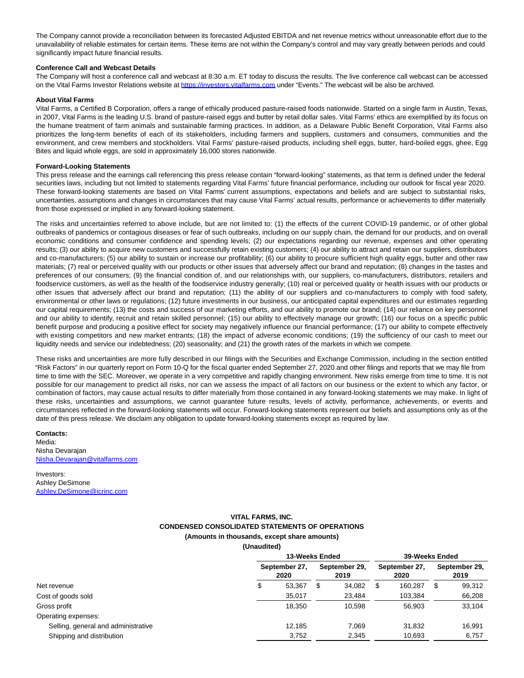The Company cannot provide a reconciliation between its forecasted Adjusted EBITDA and net revenue metrics without unreasonable effort due to the unavailability of reliable estimates for certain items. These items are not within the Company's control and may vary greatly between periods and could significantly impact future financial results.

#### **Conference Call and Webcast Details**

The Company will host a conference call and webcast at 8:30 a.m. ET today to discuss the results. The live conference call webcast can be accessed on the Vital Farms Investor Relations website at [https://investors.vitalfarms.com u](https://www.globenewswire.com/Tracker?data=ZFYnAkqIyF6uBrGY_kUZKKarheik2_vlaXtS2oLlqRmIwn8UPsrr_7PbdYNBq1NaGU7WLa6KSR1pWlZUJY7_I_J1Wagj3VSrm_WO6xWkHVQDFN9wW1VpGqPyCgcRymUT)nder "Events." The webcast will be also be archived.

#### **About Vital Farms**

Vital Farms, a Certified B Corporation, offers a range of ethically produced pasture-raised foods nationwide. Started on a single farm in Austin, Texas, in 2007, Vital Farms is the leading U.S. brand of pasture-raised eggs and butter by retail dollar sales. Vital Farms' ethics are exemplified by its focus on the humane treatment of farm animals and sustainable farming practices. In addition, as a Delaware Public Benefit Corporation, Vital Farms also prioritizes the long-term benefits of each of its stakeholders, including farmers and suppliers, customers and consumers, communities and the environment, and crew members and stockholders. Vital Farms' pasture-raised products, including shell eggs, butter, hard-boiled eggs, ghee, Egg Bites and liquid whole eggs, are sold in approximately 16,000 stores nationwide.

#### **Forward-Looking Statements**

This press release and the earnings call referencing this press release contain "forward-looking" statements, as that term is defined under the federal securities laws, including but not limited to statements regarding Vital Farms' future financial performance, including our outlook for fiscal year 2020. These forward-looking statements are based on Vital Farms' current assumptions, expectations and beliefs and are subject to substantial risks, uncertainties, assumptions and changes in circumstances that may cause Vital Farms' actual results, performance or achievements to differ materially from those expressed or implied in any forward-looking statement.

The risks and uncertainties referred to above include, but are not limited to: (1) the effects of the current COVID-19 pandemic, or of other global outbreaks of pandemics or contagious diseases or fear of such outbreaks, including on our supply chain, the demand for our products, and on overall economic conditions and consumer confidence and spending levels; (2) our expectations regarding our revenue, expenses and other operating results; (3) our ability to acquire new customers and successfully retain existing customers; (4) our ability to attract and retain our suppliers, distributors and co-manufacturers; (5) our ability to sustain or increase our profitability; (6) our ability to procure sufficient high quality eggs, butter and other raw materials; (7) real or perceived quality with our products or other issues that adversely affect our brand and reputation; (8) changes in the tastes and preferences of our consumers; (9) the financial condition of, and our relationships with, our suppliers, co-manufacturers, distributors, retailers and foodservice customers, as well as the health of the foodservice industry generally; (10) real or perceived quality or health issues with our products or other issues that adversely affect our brand and reputation; (11) the ability of our suppliers and co-manufacturers to comply with food safety, environmental or other laws or regulations; (12) future investments in our business, our anticipated capital expenditures and our estimates regarding our capital requirements; (13) the costs and success of our marketing efforts, and our ability to promote our brand; (14) our reliance on key personnel and our ability to identify, recruit and retain skilled personnel; (15) our ability to effectively manage our growth; (16) our focus on a specific public benefit purpose and producing a positive effect for society may negatively influence our financial performance; (17) our ability to compete effectively with existing competitors and new market entrants; (18) the impact of adverse economic conditions; (19) the sufficiency of our cash to meet our liquidity needs and service our indebtedness; (20) seasonality; and (21) the growth rates of the markets in which we compete.

These risks and uncertainties are more fully described in our filings with the Securities and Exchange Commission, including in the section entitled "Risk Factors" in our quarterly report on Form 10-Q for the fiscal quarter ended September 27, 2020 and other filings and reports that we may file from time to time with the SEC. Moreover, we operate in a very competitive and rapidly changing environment. New risks emerge from time to time. It is not possible for our management to predict all risks, nor can we assess the impact of all factors on our business or the extent to which any factor, or combination of factors, may cause actual results to differ materially from those contained in any forward-looking statements we may make. In light of these risks, uncertainties and assumptions, we cannot guarantee future results, levels of activity, performance, achievements, or events and circumstances reflected in the forward-looking statements will occur. Forward-looking statements represent our beliefs and assumptions only as of the date of this press release. We disclaim any obligation to update forward-looking statements except as required by law.

#### **Contacts:**

Media: Nisha Devarajan [Nisha.Devarajan@vitalfarms.com](https://www.globenewswire.com/Tracker?data=OMouChsoO_Yb7wCAvTKK72shOuwY0clpk0m9oCjBIJMe8zcdBqKkuCmw7bxElbygTz4u2K71Qgu-_YEJKocPDCsNC6m0Abmu7UXg0J232zswnm1hq7UxrShGd1LWkWy5)

Investors: Ashley DeSimone [Ashley.DeSimone@icrinc.com](https://www.globenewswire.com/Tracker?data=vm7O7sCSFJ06V7L629X1m-QbeqfOLYeB1uMzhSI3jEN57EBF-xNJ_iAVPPRkvERaSh_oLb13BJv0R4GtZas9lFsUkwLQsTyX5Hoo7kG4jlFCB0sk0bT5biArD4URfPfL)

## **VITAL FARMS, INC.**

## **CONDENSED CONSOLIDATED STATEMENTS OF OPERATIONS**

### **(Amounts in thousands, except share amounts)**

**(Unaudited)**

|                                     | 13-Weeks Ended |                       |   |                       | 39-Weeks Ended |                       |   |                       |  |
|-------------------------------------|----------------|-----------------------|---|-----------------------|----------------|-----------------------|---|-----------------------|--|
|                                     |                | September 27,<br>2020 |   | September 29,<br>2019 |                | September 27,<br>2020 |   | September 29,<br>2019 |  |
| Net revenue                         | Φ              | 53.367                | S | 34.082                | \$.            | 160.287               | S | 99,312                |  |
| Cost of goods sold                  |                | 35,017                |   | 23,484                |                | 103,384               |   | 66,208                |  |
| Gross profit                        |                | 18.350                |   | 10.598                |                | 56.903                |   | 33,104                |  |
| Operating expenses:                 |                |                       |   |                       |                |                       |   |                       |  |
| Selling, general and administrative |                | 12.185                |   | 7.069                 |                | 31.832                |   | 16.991                |  |
| Shipping and distribution           |                | 3,752                 |   | 2,345                 |                | 10.693                |   | 6,757                 |  |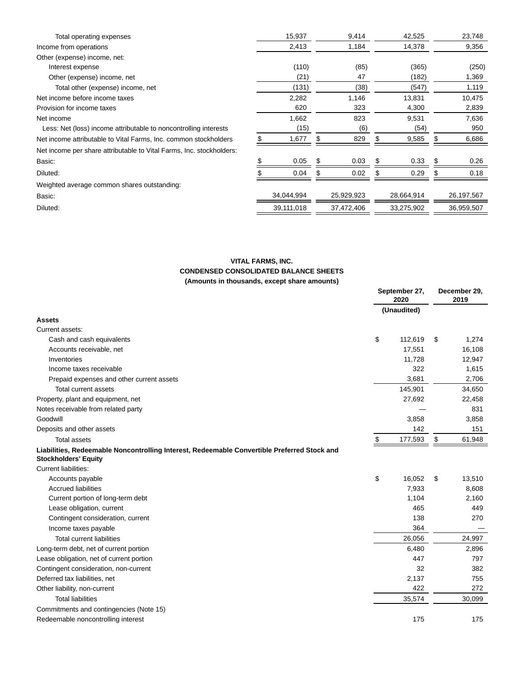| Total operating expenses                                             | 15,937     |     | 9,414      |       | 42,525     |   | 23,748     |
|----------------------------------------------------------------------|------------|-----|------------|-------|------------|---|------------|
| Income from operations                                               | 2,413      |     | 1,184      |       | 14,378     |   | 9,356      |
| Other (expense) income, net:                                         |            |     |            |       |            |   |            |
| Interest expense                                                     | (110)      |     | (85)       |       | (365)      |   | (250)      |
| Other (expense) income, net                                          | (21)       | 47  |            |       | (182)      |   | 1,369      |
| Total other (expense) income, net                                    | (131)      |     | (38)       |       | (547)      |   | 1,119      |
| Net income before income taxes                                       | 2,282      |     | 1,146      |       | 13,831     |   | 10,475     |
| Provision for income taxes                                           | 620        | 323 |            | 4,300 |            |   | 2,839      |
| Net income                                                           | 1,662      | 823 |            | 9,531 |            |   | 7,636      |
| Less: Net (loss) income attributable to noncontrolling interests     | (15)       | (6) |            | (54)  |            |   | 950        |
| Net income attributable to Vital Farms, Inc. common stockholders     | 1,677      |     | 829        |       | 9,585      |   | 6,686      |
| Net income per share attributable to Vital Farms, Inc. stockholders: |            |     |            |       |            |   |            |
| Basic:                                                               | \$<br>0.05 | S.  | 0.03       | S.    | 0.33       | S | 0.26       |
| Diluted:                                                             | 0.04       |     | 0.02       |       | 0.29       |   | 0.18       |
| Weighted average common shares outstanding:                          |            |     |            |       |            |   |            |
| Basic:                                                               | 34,044,994 |     | 25,929,923 |       | 28,664,914 |   | 26,197,567 |
| Diluted:                                                             | 39,111,018 |     | 37,472,406 |       | 33,275,902 |   | 36,959,507 |
|                                                                      |            |     |            |       |            |   |            |

## **VITAL FARMS, INC. CONDENSED CONSOLIDATED BALANCE SHEETS (Amounts in thousands, except share amounts)**

|                                                                                                                            | September 27,<br>2020 |             | December 29,<br>2019 |        |
|----------------------------------------------------------------------------------------------------------------------------|-----------------------|-------------|----------------------|--------|
|                                                                                                                            |                       | (Unaudited) |                      |        |
| <b>Assets</b>                                                                                                              |                       |             |                      |        |
| Current assets:                                                                                                            |                       |             |                      |        |
| Cash and cash equivalents                                                                                                  | \$                    | 112,619     | \$                   | 1,274  |
| Accounts receivable, net                                                                                                   |                       | 17,551      |                      | 16,108 |
| Inventories                                                                                                                |                       | 11,728      |                      | 12,947 |
| Income taxes receivable                                                                                                    |                       | 322         |                      | 1,615  |
| Prepaid expenses and other current assets                                                                                  |                       | 3,681       |                      | 2,706  |
| <b>Total current assets</b>                                                                                                |                       | 145,901     |                      | 34,650 |
| Property, plant and equipment, net                                                                                         |                       | 27,692      |                      | 22,458 |
| Notes receivable from related party                                                                                        |                       |             |                      | 831    |
| Goodwill                                                                                                                   |                       | 3,858       |                      | 3,858  |
| Deposits and other assets                                                                                                  |                       | 142         |                      | 151    |
| <b>Total assets</b>                                                                                                        | \$                    | 177,593     | \$                   | 61,948 |
| Liabilities, Redeemable Noncontrolling Interest, Redeemable Convertible Preferred Stock and<br><b>Stockholders' Equity</b> |                       |             |                      |        |
| <b>Current liabilities:</b>                                                                                                |                       |             |                      |        |
| Accounts payable                                                                                                           | \$                    | 16,052      | \$                   | 13,510 |
| <b>Accrued liabilities</b>                                                                                                 |                       | 7,933       |                      | 8,608  |
| Current portion of long-term debt                                                                                          |                       | 1,104       |                      | 2,160  |
| Lease obligation, current                                                                                                  |                       | 465         |                      | 449    |
| Contingent consideration, current                                                                                          |                       | 138         |                      | 270    |
| Income taxes payable                                                                                                       |                       | 364         |                      |        |
| <b>Total current liabilities</b>                                                                                           |                       | 26,056      |                      | 24,997 |
| Long-term debt, net of current portion                                                                                     |                       | 6,480       |                      | 2,896  |
| Lease obligation, net of current portion                                                                                   |                       | 447         |                      | 797    |
| Contingent consideration, non-current                                                                                      |                       | 32          |                      | 382    |
| Deferred tax liabilities, net                                                                                              |                       | 2,137       |                      | 755    |
| Other liability, non-current                                                                                               |                       | 422         |                      | 272    |
| <b>Total liabilities</b>                                                                                                   |                       | 35,574      |                      | 30,099 |
| Commitments and contingencies (Note 15)                                                                                    |                       |             |                      |        |
| Redeemable noncontrolling interest                                                                                         |                       | 175         |                      | 175    |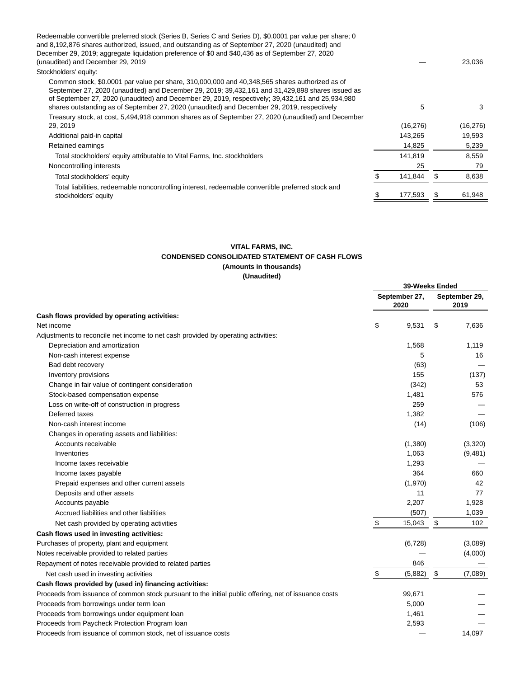| Redeemable convertible preferred stock (Series B, Series C and Series D), \$0.0001 par value per share; 0<br>and 8,192,876 shares authorized, issued, and outstanding as of September 27, 2020 (unaudited) and                                                                                                                                                                                        |           |    |           |
|-------------------------------------------------------------------------------------------------------------------------------------------------------------------------------------------------------------------------------------------------------------------------------------------------------------------------------------------------------------------------------------------------------|-----------|----|-----------|
| December 29, 2019; aggregate liquidation preference of \$0 and \$40,436 as of September 27, 2020                                                                                                                                                                                                                                                                                                      |           |    |           |
| (unaudited) and December 29, 2019                                                                                                                                                                                                                                                                                                                                                                     |           |    | 23,036    |
| Stockholders' equity:                                                                                                                                                                                                                                                                                                                                                                                 |           |    |           |
| Common stock, \$0.0001 par value per share, 310,000,000 and 40,348,565 shares authorized as of<br>September 27, 2020 (unaudited) and December 29, 2019; 39,432,161 and 31,429,898 shares issued as<br>of September 27, 2020 (unaudited) and December 29, 2019, respectively; 39,432,161 and 25,934,980<br>shares outstanding as of September 27, 2020 (unaudited) and December 29, 2019, respectively | 5         |    | 3         |
| Treasury stock, at cost, 5,494,918 common shares as of September 27, 2020 (unaudited) and December<br>29, 2019                                                                                                                                                                                                                                                                                        | (16, 276) |    | (16, 276) |
| Additional paid-in capital                                                                                                                                                                                                                                                                                                                                                                            | 143,265   |    | 19,593    |
| Retained earnings                                                                                                                                                                                                                                                                                                                                                                                     | 14,825    |    | 5,239     |
| Total stockholders' equity attributable to Vital Farms, Inc. stockholders                                                                                                                                                                                                                                                                                                                             | 141,819   |    | 8,559     |
| Noncontrolling interests                                                                                                                                                                                                                                                                                                                                                                              | 25        |    | 79        |
| Total stockholders' equity                                                                                                                                                                                                                                                                                                                                                                            | 141,844   | £. | 8,638     |
| Total liabilities, redeemable noncontrolling interest, redeemable convertible preferred stock and<br>stockholders' equity                                                                                                                                                                                                                                                                             | 177,593   |    | 61,948    |

## **VITAL FARMS, INC. CONDENSED CONSOLIDATED STATEMENT OF CASH FLOWS (Amounts in thousands) (Unaudited)**

|                                                                                                       |                       | 39-Weeks Ended |                       |          |
|-------------------------------------------------------------------------------------------------------|-----------------------|----------------|-----------------------|----------|
|                                                                                                       | September 27,<br>2020 |                | September 29,<br>2019 |          |
| Cash flows provided by operating activities:                                                          |                       |                |                       |          |
| Net income                                                                                            | \$                    | 9,531          | \$                    | 7,636    |
| Adjustments to reconcile net income to net cash provided by operating activities:                     |                       |                |                       |          |
| Depreciation and amortization                                                                         |                       | 1,568          |                       | 1,119    |
| Non-cash interest expense                                                                             |                       | 5              |                       | 16       |
| Bad debt recovery                                                                                     |                       | (63)           |                       |          |
| Inventory provisions                                                                                  |                       | 155            |                       | (137)    |
| Change in fair value of contingent consideration                                                      |                       | (342)          |                       | 53       |
| Stock-based compensation expense                                                                      |                       | 1,481          |                       | 576      |
| Loss on write-off of construction in progress                                                         |                       | 259            |                       |          |
| Deferred taxes                                                                                        |                       | 1,382          |                       |          |
| Non-cash interest income                                                                              |                       | (14)           |                       | (106)    |
| Changes in operating assets and liabilities:                                                          |                       |                |                       |          |
| Accounts receivable                                                                                   |                       | (1,380)        |                       | (3,320)  |
| Inventories                                                                                           |                       | 1,063          |                       | (9, 481) |
| Income taxes receivable                                                                               |                       | 1,293          |                       |          |
| Income taxes payable                                                                                  |                       | 364            |                       | 660      |
| Prepaid expenses and other current assets                                                             |                       | (1,970)        |                       | 42       |
| Deposits and other assets                                                                             |                       | 11             |                       | 77       |
| Accounts payable                                                                                      |                       | 2,207          |                       | 1,928    |
| Accrued liabilities and other liabilities                                                             |                       | (507)          |                       | 1,039    |
| Net cash provided by operating activities                                                             | \$                    | 15,043         | \$                    | 102      |
| Cash flows used in investing activities:                                                              |                       |                |                       |          |
| Purchases of property, plant and equipment                                                            |                       | (6, 728)       |                       | (3,089)  |
| Notes receivable provided to related parties                                                          |                       |                |                       | (4,000)  |
| Repayment of notes receivable provided to related parties                                             |                       | 846            |                       |          |
| Net cash used in investing activities                                                                 | \$                    | (5,882)        | \$                    | (7,089)  |
| Cash flows provided by (used in) financing activities:                                                |                       |                |                       |          |
| Proceeds from issuance of common stock pursuant to the initial public offering, net of issuance costs |                       | 99,671         |                       |          |
| Proceeds from borrowings under term loan                                                              |                       | 5,000          |                       |          |
| Proceeds from borrowings under equipment loan                                                         |                       | 1,461          |                       |          |
| Proceeds from Paycheck Protection Program loan                                                        |                       | 2,593          |                       |          |
| Proceeds from issuance of common stock, net of issuance costs                                         |                       |                |                       | 14.097   |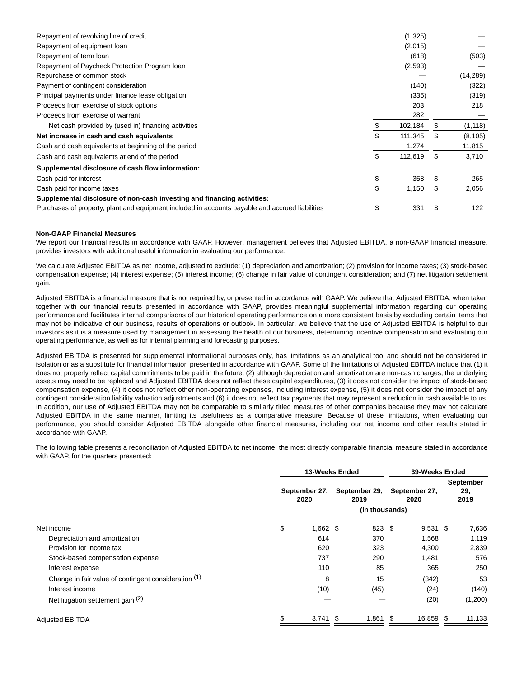| Repayment of revolving line of credit                                                           |    | (1,325) |    |          |
|-------------------------------------------------------------------------------------------------|----|---------|----|----------|
| Repayment of equipment loan                                                                     |    | (2,015) |    |          |
| Repayment of term loan                                                                          |    | (618)   |    | (503)    |
| Repayment of Paycheck Protection Program Ioan                                                   |    | (2,593) |    |          |
| Repurchase of common stock                                                                      |    |         |    | (14,289) |
| Payment of contingent consideration                                                             |    | (140)   |    | (322)    |
| Principal payments under finance lease obligation                                               |    | (335)   |    | (319)    |
| Proceeds from exercise of stock options                                                         |    | 203     |    | 218      |
| Proceeds from exercise of warrant                                                               |    | 282     |    |          |
| Net cash provided by (used in) financing activities                                             | S  | 102,184 | S  | (1, 118) |
| Net increase in cash and cash equivalents                                                       | \$ | 111,345 | \$ | (8, 105) |
| Cash and cash equivalents at beginning of the period                                            |    | 1,274   |    | 11,815   |
| Cash and cash equivalents at end of the period                                                  |    | 112,619 |    | 3,710    |
| Supplemental disclosure of cash flow information:                                               |    |         |    |          |
| Cash paid for interest                                                                          | \$ | 358     | S  | 265      |
| Cash paid for income taxes                                                                      | \$ | 1,150   | \$ | 2,056    |
| Supplemental disclosure of non-cash investing and financing activities:                         |    |         |    |          |
| Purchases of property, plant and equipment included in accounts payable and accrued liabilities | \$ | 331     | \$ | 122      |

#### **Non-GAAP Financial Measures**

We report our financial results in accordance with GAAP. However, management believes that Adjusted EBITDA, a non-GAAP financial measure, provides investors with additional useful information in evaluating our performance.

We calculate Adjusted EBITDA as net income, adjusted to exclude: (1) depreciation and amortization; (2) provision for income taxes; (3) stock-based compensation expense; (4) interest expense; (5) interest income; (6) change in fair value of contingent consideration; and (7) net litigation settlement gain.

Adjusted EBITDA is a financial measure that is not required by, or presented in accordance with GAAP. We believe that Adjusted EBITDA, when taken together with our financial results presented in accordance with GAAP, provides meaningful supplemental information regarding our operating performance and facilitates internal comparisons of our historical operating performance on a more consistent basis by excluding certain items that may not be indicative of our business, results of operations or outlook. In particular, we believe that the use of Adjusted EBITDA is helpful to our investors as it is a measure used by management in assessing the health of our business, determining incentive compensation and evaluating our operating performance, as well as for internal planning and forecasting purposes.

Adjusted EBITDA is presented for supplemental informational purposes only, has limitations as an analytical tool and should not be considered in isolation or as a substitute for financial information presented in accordance with GAAP. Some of the limitations of Adjusted EBITDA include that (1) it does not properly reflect capital commitments to be paid in the future, (2) although depreciation and amortization are non-cash charges, the underlying assets may need to be replaced and Adjusted EBITDA does not reflect these capital expenditures, (3) it does not consider the impact of stock-based compensation expense, (4) it does not reflect other non-operating expenses, including interest expense, (5) it does not consider the impact of any contingent consideration liability valuation adjustments and (6) it does not reflect tax payments that may represent a reduction in cash available to us. In addition, our use of Adjusted EBITDA may not be comparable to similarly titled measures of other companies because they may not calculate Adjusted EBITDA in the same manner, limiting its usefulness as a comparative measure. Because of these limitations, when evaluating our performance, you should consider Adjusted EBITDA alongside other financial measures, including our net income and other results stated in accordance with GAAP.

The following table presents a reconciliation of Adjusted EBITDA to net income, the most directly comparable financial measure stated in accordance with GAAP, for the quarters presented:

|                                                      | 13-Weeks Ended |                                                |  | 39-Weeks Ended        |  |            |                          |         |
|------------------------------------------------------|----------------|------------------------------------------------|--|-----------------------|--|------------|--------------------------|---------|
|                                                      |                | September 29,<br>September 27,<br>2019<br>2020 |  | September 27,<br>2020 |  |            | September<br>29.<br>2019 |         |
|                                                      |                |                                                |  | (in thousands)        |  |            |                          |         |
| Net income                                           | \$             | $1,662$ \$                                     |  | 823 \$                |  | $9,531$ \$ |                          | 7,636   |
| Depreciation and amortization                        |                | 614                                            |  | 370                   |  | 1,568      |                          | 1,119   |
| Provision for income tax                             |                | 620                                            |  | 323                   |  | 4,300      |                          | 2,839   |
| Stock-based compensation expense                     |                | 737                                            |  | 290                   |  | 1,481      |                          | 576     |
| Interest expense                                     |                | 110                                            |  | 85                    |  | 365        |                          | 250     |
| Change in fair value of contingent consideration (1) |                | 8                                              |  | 15                    |  | (342)      |                          | 53      |
| Interest income                                      |                | (10)                                           |  | (45)                  |  | (24)       |                          | (140)   |
| Net litigation settlement gain (2)                   |                |                                                |  |                       |  | (20)       |                          | (1,200) |
| <b>Adjusted EBITDA</b>                               |                | $3,741$ \$                                     |  | $1,861$ \$            |  | 16,859 \$  |                          | 11,133  |